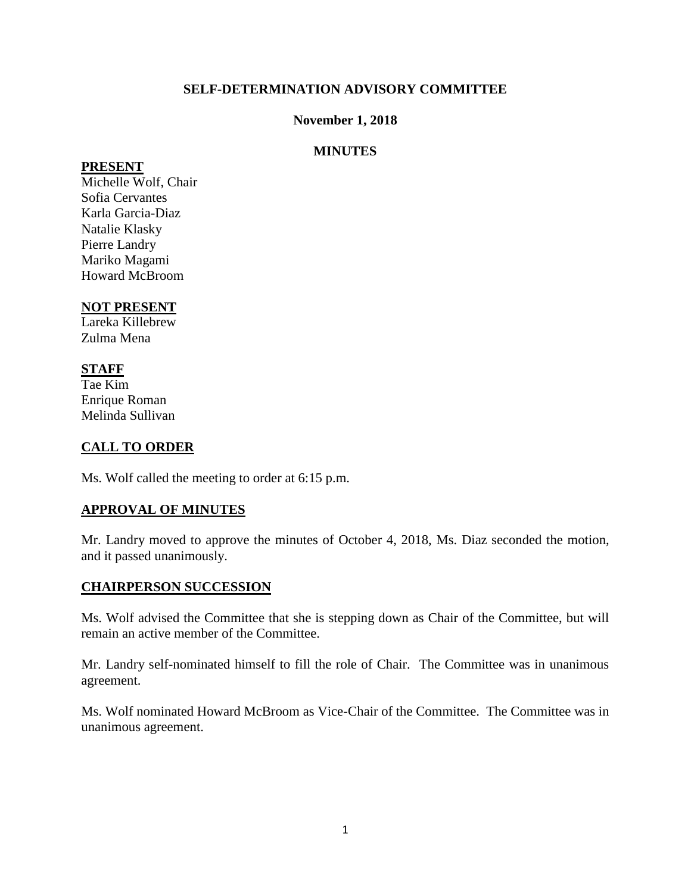## **SELF-DETERMINATION ADVISORY COMMITTEE**

#### **November 1, 2018**

## **MINUTES**

#### **PRESENT**

Michelle Wolf, Chair Sofia Cervantes Karla Garcia-Diaz Natalie Klasky Pierre Landry Mariko Magami Howard McBroom

## **NOT PRESENT**

Lareka Killebrew Zulma Mena

# **STAFF**

Tae Kim Enrique Roman Melinda Sullivan

# **CALL TO ORDER**

Ms. Wolf called the meeting to order at 6:15 p.m.

#### **APPROVAL OF MINUTES**

Mr. Landry moved to approve the minutes of October 4, 2018, Ms. Diaz seconded the motion, and it passed unanimously.

#### **CHAIRPERSON SUCCESSION**

Ms. Wolf advised the Committee that she is stepping down as Chair of the Committee, but will remain an active member of the Committee.

Mr. Landry self-nominated himself to fill the role of Chair. The Committee was in unanimous agreement.

Ms. Wolf nominated Howard McBroom as Vice-Chair of the Committee. The Committee was in unanimous agreement.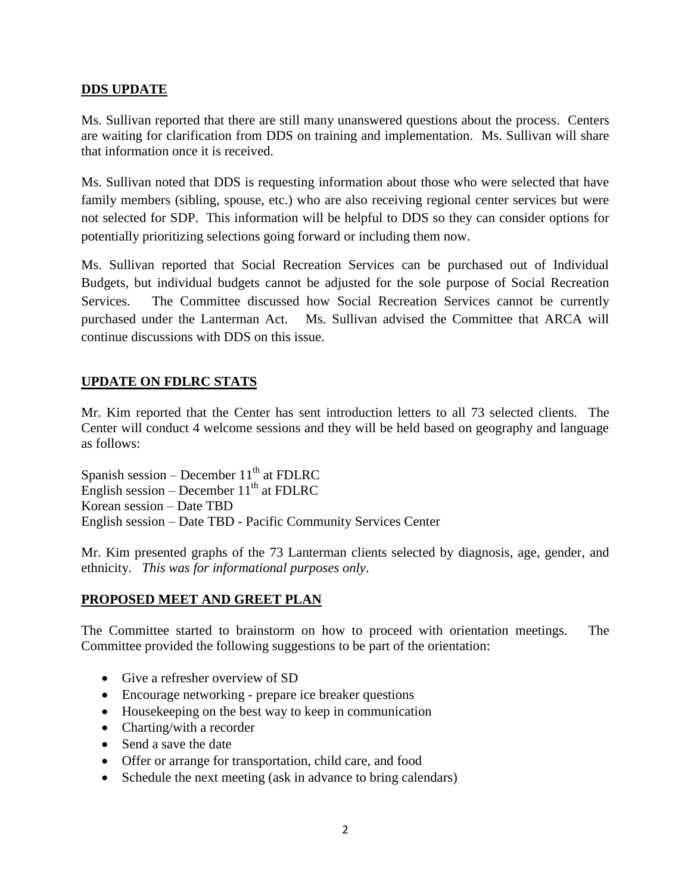## **DDS UPDATE**

Ms. Sullivan reported that there are still many unanswered questions about the process. Centers are waiting for clarification from DDS on training and implementation. Ms. Sullivan will share that information once it is received.

Ms. Sullivan noted that DDS is requesting information about those who were selected that have family members (sibling, spouse, etc.) who are also receiving regional center services but were not selected for SDP. This information will be helpful to DDS so they can consider options for potentially prioritizing selections going forward or including them now.

Ms. Sullivan reported that Social Recreation Services can be purchased out of Individual Budgets, but individual budgets cannot be adjusted for the sole purpose of Social Recreation Services. The Committee discussed how Social Recreation Services cannot be currently purchased under the Lanterman Act. Ms. Sullivan advised the Committee that ARCA will continue discussions with DDS on this issue.

# **UPDATE ON FDLRC STATS**

Mr. Kim reported that the Center has sent introduction letters to all 73 selected clients. The Center will conduct 4 welcome sessions and they will be held based on geography and language as follows:

Spanish session – December  $11<sup>th</sup>$  at FDLRC English session – December  $11<sup>th</sup>$  at FDLRC Korean session – Date TBD English session – Date TBD - Pacific Community Services Center

Mr. Kim presented graphs of the 73 Lanterman clients selected by diagnosis, age, gender, and ethnicity. *This was for informational purposes only*.

#### **PROPOSED MEET AND GREET PLAN**

The Committee started to brainstorm on how to proceed with orientation meetings. The Committee provided the following suggestions to be part of the orientation:

- Give a refresher overview of SD
- Encourage networking prepare ice breaker questions
- Housekeeping on the best way to keep in communication
- Charting/with a recorder
- Send a save the date
- Offer or arrange for transportation, child care, and food
- Schedule the next meeting (ask in advance to bring calendars)